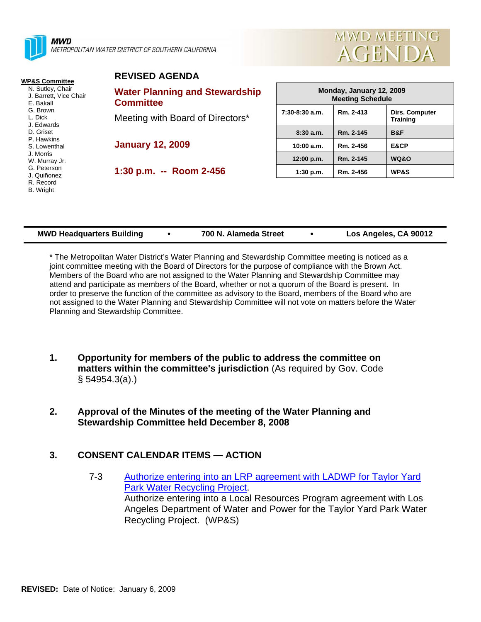| <b>MWD</b><br>METROPOLITAN WATER DISTRICT OF SOUTHERN CALIFORNIA                             | MWD MEETING<br><b>AGENDA</b>                              |                                                     |           |                                   |
|----------------------------------------------------------------------------------------------|-----------------------------------------------------------|-----------------------------------------------------|-----------|-----------------------------------|
| <b>WP&amp;S Committee</b>                                                                    | <b>REVISED AGENDA</b>                                     |                                                     |           |                                   |
| N. Sutley, Chair<br>J. Barrett, Vice Chair<br>E. Bakall<br>G. Brown<br>L. Dick<br>J. Edwards | <b>Water Planning and Stewardship</b><br><b>Committee</b> | Monday, January 12, 2009<br><b>Meeting Schedule</b> |           |                                   |
|                                                                                              | Meeting with Board of Directors*                          | $7:30-8:30$ a.m.                                    | Rm. 2-413 | Dirs. Computer<br><b>Training</b> |
| D. Griset                                                                                    |                                                           | 8:30a.m.                                            | Rm. 2-145 | B&F                               |
| P. Hawkins<br>S. Lowenthal                                                                   | <b>January 12, 2009</b>                                   | 10:00 a.m.                                          | Rm. 2-456 | E&CP                              |
| J. Morris<br>W. Murray Jr.                                                                   |                                                           | 12:00 p.m.                                          | Rm. 2-145 | <b>WQ&amp;O</b>                   |
| G. Peterson<br>J. Quiñonez<br>R. Record<br>B. Wright                                         | 1:30 p.m. -- Room 2-456                                   | 1:30 p.m.                                           | Rm. 2-456 | <b>WP&amp;S</b>                   |

| <b>MWD Headquarters Building</b> | 700 N. Alameda Street | Los Angeles, CA 90012 |
|----------------------------------|-----------------------|-----------------------|
|                                  |                       |                       |

/D MEETIN

\* The Metropolitan Water District's Water Planning and Stewardship Committee meeting is noticed as a joint committee meeting with the Board of Directors for the purpose of compliance with the Brown Act. Members of the Board who are not assigned to the Water Planning and Stewardship Committee may attend and participate as members of the Board, whether or not a quorum of the Board is present. In order to preserve the function of the committee as advisory to the Board, members of the Board who are not assigned to the Water Planning and Stewardship Committee will not vote on matters before the Water Planning and Stewardship Committee.

- **1. Opportunity for members of the public to address the committee on matters within the committee's jurisdiction** (As required by Gov. Code § 54954.3(a).)
- **2. Approval of the Minutes of the meeting of the Water Planning and Stewardship Committee held December 8, 2008**

## **3. CONSENT CALENDAR ITEMS — ACTION**

7-3 Authorize entering into an LRP agreement with LADWP for Taylor Yard Park Water Recycling Project. Authorize entering into a Local Resources Program agreement with Los Angeles Department of Water and Power for the Taylor Yard Park Water Recycling Project. (WP&S)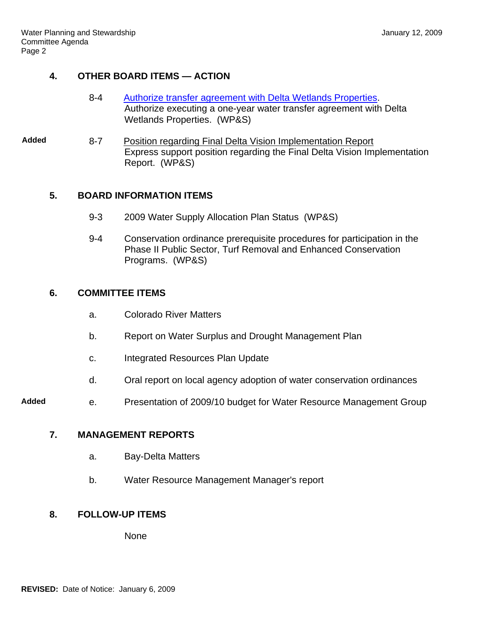# **4. OTHER BOARD ITEMS — ACTION**

- 8-4 Authorize transfer agreement with Delta Wetlands Properties. Authorize executing a one-year water transfer agreement with Delta Wetlands Properties. (WP&S)
- **Added** 8-7 Position regarding Final Delta Vision Implementation Report Express support position regarding the Final Delta Vision Implementation Report. (WP&S)

## **5. BOARD INFORMATION ITEMS**

- 9-3 2009 Water Supply Allocation Plan Status (WP&S)
- 9-4 Conservation ordinance prerequisite procedures for participation in the Phase II Public Sector, Turf Removal and Enhanced Conservation Programs. (WP&S)

## **6. COMMITTEE ITEMS**

- a. Colorado River Matters
- b. Report on Water Surplus and Drought Management Plan
- c. Integrated Resources Plan Update
- d. Oral report on local agency adoption of water conservation ordinances
- **Added** e. Presentation of 2009/10 budget for Water Resource Management Group

### **7. MANAGEMENT REPORTS**

- a. Bay-Delta Matters
- b. Water Resource Management Manager's report

## **8. FOLLOW-UP ITEMS**

None